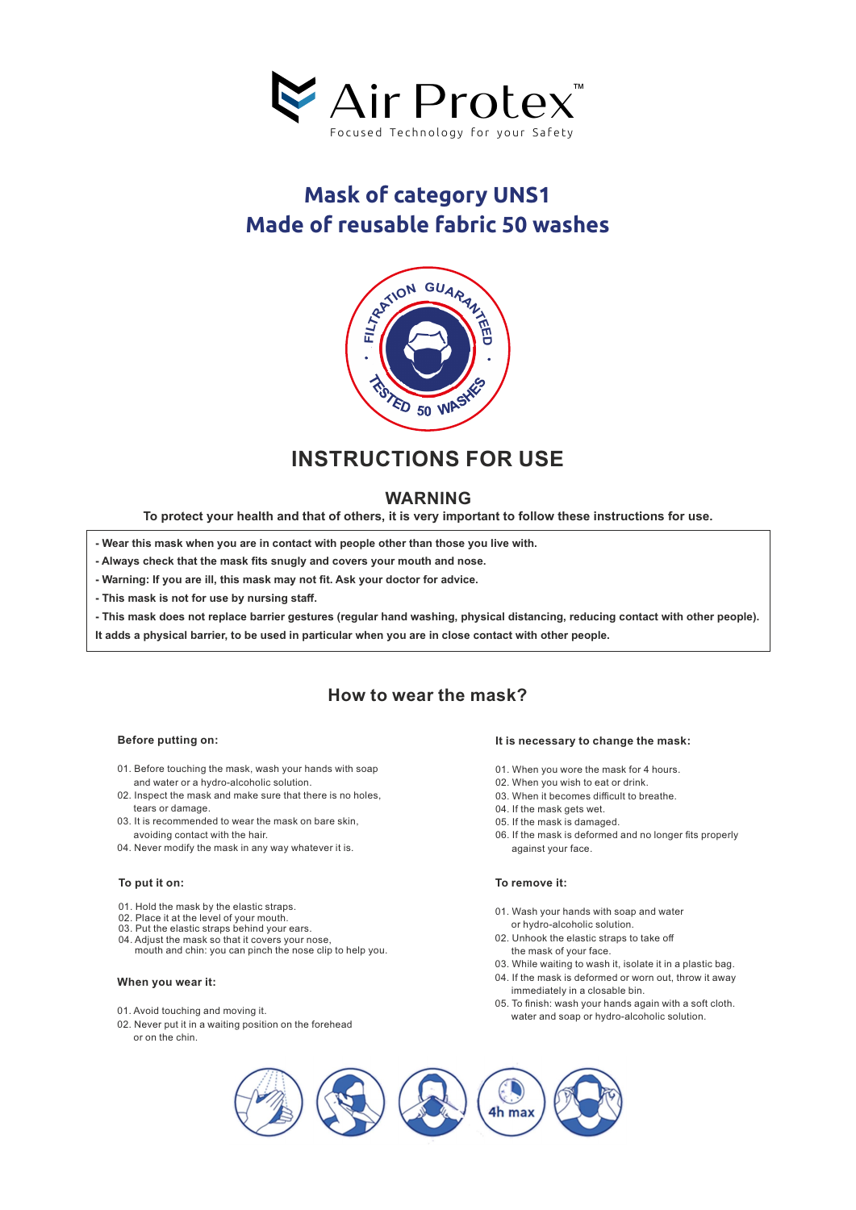

# **Mask of category UNS1 Made of reusable fabric 50 washes**



## **INSTRUCTIONS FOR USE**

### **WARNING**

**To protect your health and that of others, it is very important to follow these instructions for use.**

**- Wear this mask when you are in contact with people other than those you live with.**

**- Always check that the mask fits snugly and covers your mouth and nose.**

**- Warning: If you are ill, this mask may not fit. Ask your doctor for advice.**

**- This mask is not for use by nursing staff.**

**- This mask does not replace barrier gestures (regular hand washing, physical distancing, reducing contact with other people).**

**It adds a physical barrier, to be used in particular when you are in close contact with other people.** 

### **How to wear the mask?**

#### **Before putting on:**

- 01.Before touching the mask, wash your hands with soap and water or a hydro-alcoholic solution.
- 02. Inspect the mask and make sure that there is no holes, tears or damage.
- 03.It is recommended to wear the mask on bare skin, avoiding contact with the hair.
- 04.Never modify the mask in any way whatever it is.

#### **To put it on:**

- 01.Hold the mask by the elastic straps.
- 
- 02. Place it at the level of your mouth.<br>03. Put the elastic straps behind your ears.
- 04. Adjust the mask so that it covers your nose,
- mouth and chin: you can pinch the nose clip to help you.

#### **When you wear it:**

- 01. Avoid touching and moving it.
- 02.Never put it in a waiting position on the forehead or on the chin.

#### **It is necessary to change the mask:**

- 01.When you wore the mask for 4 hours.
- 02.When you wish to eat or drink.
- 03.When it becomes difficult to breathe.
- 04.If the mask gets wet.
- 05.If the mask is damaged.
- 06.If the mask is deformed and no longer fits properly against your face.

#### **To remove it:**

- 01. Wash your hands with soap and water or hydro-alcoholic solution.
- 02.Unhook the elastic straps to take off the mask of your face.
- 03.While waiting to wash it, isolate it in a plastic bag.
- 04. If the mask is deformed or worn out, throw it away immediately in a closable bin.
- 05. To finish: wash your hands again with a soft cloth. water and soap or hydro-alcoholic solution.